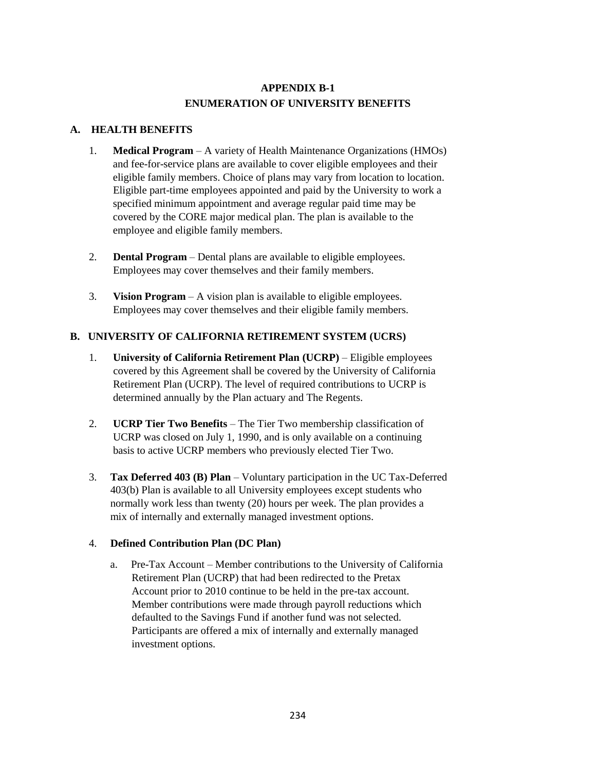# **APPENDIX B-1 ENUMERATION OF UNIVERSITY BENEFITS**

#### **A. HEALTH BENEFITS**

- 1. **Medical Program** A variety of Health Maintenance Organizations (HMOs) and fee-for-service plans are available to cover eligible employees and their eligible family members. Choice of plans may vary from location to location. Eligible part-time employees appointed and paid by the University to work a specified minimum appointment and average regular paid time may be covered by the CORE major medical plan. The plan is available to the employee and eligible family members.
- 2. **Dental Program** Dental plans are available to eligible employees. Employees may cover themselves and their family members.
- 3. **Vision Program** A vision plan is available to eligible employees. Employees may cover themselves and their eligible family members.

## **B. UNIVERSITY OF CALIFORNIA RETIREMENT SYSTEM (UCRS)**

- 1. **University of California Retirement Plan (UCRP)** Eligible employees covered by this Agreement shall be covered by the University of California Retirement Plan (UCRP). The level of required contributions to UCRP is determined annually by the Plan actuary and The Regents.
- 2. **UCRP Tier Two Benefits** The Tier Two membership classification of UCRP was closed on July 1, 1990, and is only available on a continuing basis to active UCRP members who previously elected Tier Two.
- 3. **Tax Deferred 403 (B) Plan** Voluntary participation in the UC Tax-Deferred 403(b) Plan is available to all University employees except students who normally work less than twenty (20) hours per week. The plan provides a mix of internally and externally managed investment options.

### 4. **Defined Contribution Plan (DC Plan)**

 a. Pre-Tax Account – Member contributions to the University of California Retirement Plan (UCRP) that had been redirected to the Pretax Account prior to 2010 continue to be held in the pre-tax account. Member contributions were made through payroll reductions which defaulted to the Savings Fund if another fund was not selected. Participants are offered a mix of internally and externally managed investment options.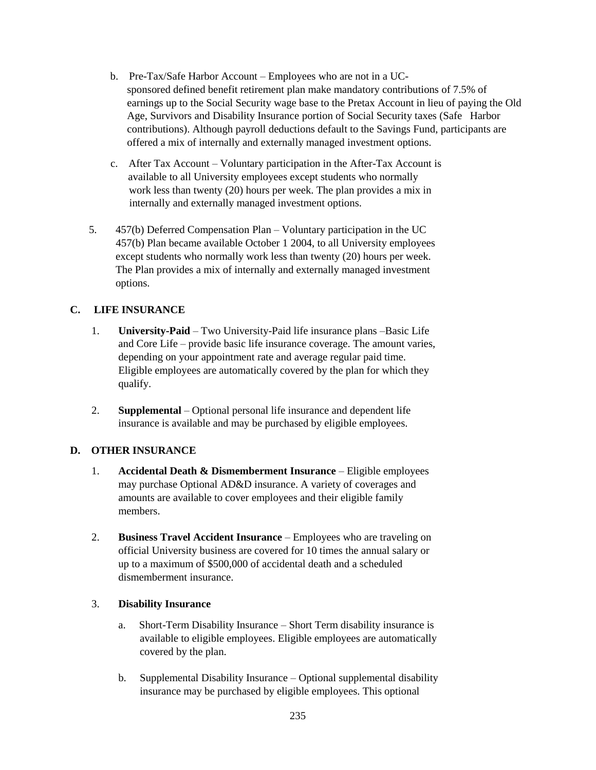- b. Pre-Tax/Safe Harbor Account Employees who are not in a UCsponsored defined benefit retirement plan make mandatory contributions of 7.5% of earnings up to the Social Security wage base to the Pretax Account in lieu of paying the Old Age, Survivors and Disability Insurance portion of Social Security taxes (Safe Harbor contributions). Although payroll deductions default to the Savings Fund, participants are offered a mix of internally and externally managed investment options.
- c. After Tax Account Voluntary participation in the After-Tax Account is available to all University employees except students who normally work less than twenty (20) hours per week. The plan provides a mix in internally and externally managed investment options.
- 5. 457(b) Deferred Compensation Plan Voluntary participation in the UC 457(b) Plan became available October 1 2004, to all University employees except students who normally work less than twenty (20) hours per week. The Plan provides a mix of internally and externally managed investment options.

### **C. LIFE INSURANCE**

- 1. **University-Paid** Two University-Paid life insurance plans –Basic Life and Core Life – provide basic life insurance coverage. The amount varies, depending on your appointment rate and average regular paid time. Eligible employees are automatically covered by the plan for which they qualify.
- 2. **Supplemental** Optional personal life insurance and dependent life insurance is available and may be purchased by eligible employees.

### **D. OTHER INSURANCE**

- 1. **Accidental Death & Dismemberment Insurance** Eligible employees may purchase Optional AD&D insurance. A variety of coverages and amounts are available to cover employees and their eligible family members.
- 2. **Business Travel Accident Insurance** Employees who are traveling on official University business are covered for 10 times the annual salary or up to a maximum of \$500,000 of accidental death and a scheduled dismemberment insurance.

### 3. **Disability Insurance**

- a. Short-Term Disability Insurance Short Term disability insurance is available to eligible employees. Eligible employees are automatically covered by the plan.
- b. Supplemental Disability Insurance Optional supplemental disability insurance may be purchased by eligible employees. This optional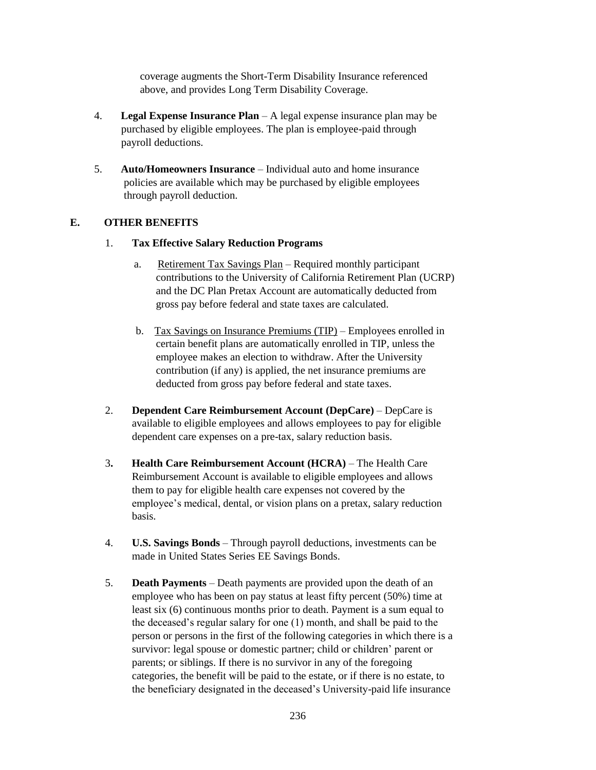coverage augments the Short-Term Disability Insurance referenced above, and provides Long Term Disability Coverage.

- 4. **Legal Expense Insurance Plan** A legal expense insurance plan may be purchased by eligible employees. The plan is employee-paid through payroll deductions.
- 5. **Auto/Homeowners Insurance** Individual auto and home insurance policies are available which may be purchased by eligible employees through payroll deduction.

### **E. OTHER BENEFITS**

#### 1. **Tax Effective Salary Reduction Programs**

- a. Retirement Tax Savings Plan Required monthly participant contributions to the University of California Retirement Plan (UCRP) and the DC Plan Pretax Account are automatically deducted from gross pay before federal and state taxes are calculated.
- b. Tax Savings on Insurance Premiums (TIP) Employees enrolled in certain benefit plans are automatically enrolled in TIP, unless the employee makes an election to withdraw. After the University contribution (if any) is applied, the net insurance premiums are deducted from gross pay before federal and state taxes.
- 2. **Dependent Care Reimbursement Account (DepCare)** DepCare is available to eligible employees and allows employees to pay for eligible dependent care expenses on a pre-tax, salary reduction basis.
- 3**. Health Care Reimbursement Account (HCRA)** The Health Care Reimbursement Account is available to eligible employees and allows them to pay for eligible health care expenses not covered by the employee's medical, dental, or vision plans on a pretax, salary reduction basis.
- 4. **U.S. Savings Bonds** Through payroll deductions, investments can be made in United States Series EE Savings Bonds.
- 5. **Death Payments** Death payments are provided upon the death of an employee who has been on pay status at least fifty percent (50%) time at least six (6) continuous months prior to death. Payment is a sum equal to the deceased's regular salary for one (1) month, and shall be paid to the person or persons in the first of the following categories in which there is a survivor: legal spouse or domestic partner; child or children' parent or parents; or siblings. If there is no survivor in any of the foregoing categories, the benefit will be paid to the estate, or if there is no estate, to the beneficiary designated in the deceased's University-paid life insurance